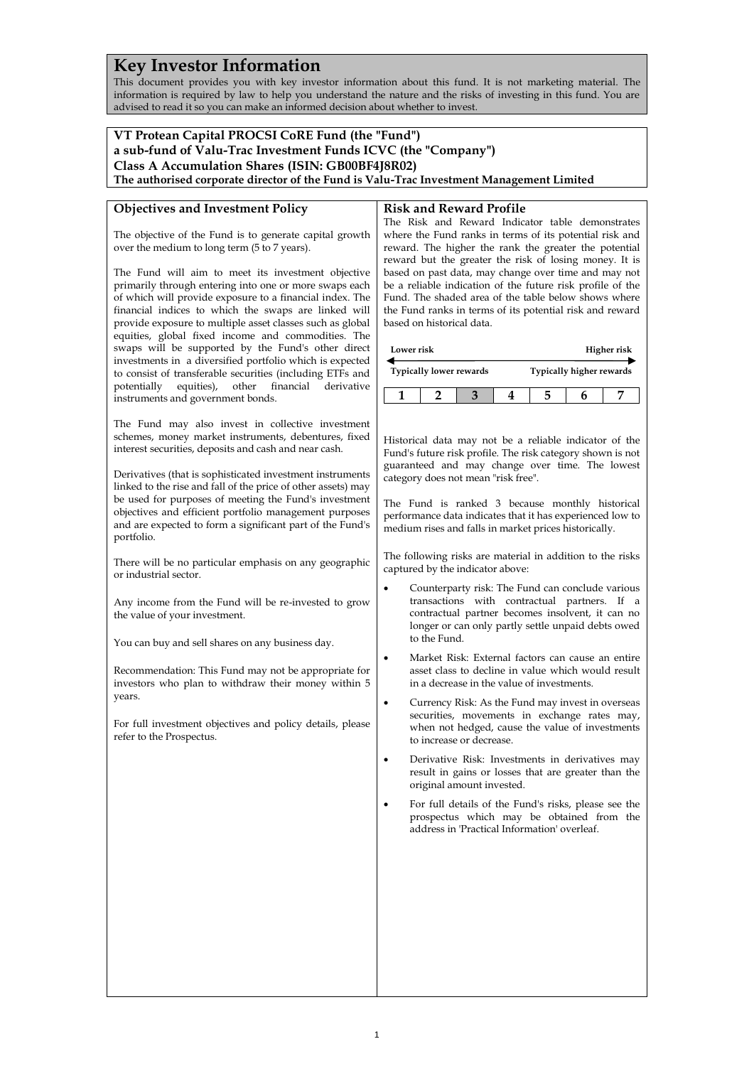# **Key Investor Information**

This document provides you with key investor information about this fund. It is not marketing material. The information is required by law to help you understand the nature and the risks of investing in this fund. You are advised to read it so you can make an informed decision about whether to invest.

## **VT Protean Capital PROCSI CoRE Fund (the "Fund") a sub-fund of Valu-Trac Investment Funds ICVC (the "Company") Class A Accumulation Shares (ISIN: GB00BF4J8R02)**

**The authorised corporate director of the Fund is Valu-Trac Investment Management Limited**

## **Objectives and Investment Policy**

The objective of the Fund is to generate capital growth over the medium to long term (5 to 7 years).

The Fund will aim to meet its investment objective primarily through entering into one or more swaps each of which will provide exposure to a financial index. The financial indices to which the swaps are linked will provide exposure to multiple asset classes such as global equities, global fixed income and commodities. The swaps will be supported by the Fund's other direct investments in a diversified portfolio which is expected to consist of transferable securities (including ETFs and potentially equities), other financial derivative instruments and government bonds.

The Fund may also invest in collective investment schemes, money market instruments, debentures, fixed interest securities, deposits and cash and near cash.

Derivatives (that is sophisticated investment instruments linked to the rise and fall of the price of other assets) may be used for purposes of meeting the Fund's investment objectives and efficient portfolio management purposes and are expected to form a significant part of the Fund's portfolio.

There will be no particular emphasis on any geographic or industrial sector.

Any income from the Fund will be re-invested to grow the value of your investment.

You can buy and sell shares on any business day.

Recommendation: This Fund may not be appropriate for investors who plan to withdraw their money within 5 years.

For full investment objectives and policy details, please refer to the Prospectus.

#### **Risk and Reward Profile**

The Risk and Reward Indicator table demonstrates where the Fund ranks in terms of its potential risk and reward. The higher the rank the greater the potential reward but the greater the risk of losing money. It is based on past data, may change over time and may not be a reliable indication of the future risk profile of the Fund. The shaded area of the table below shows where the Fund ranks in terms of its potential risk and reward based on historical data.

| Lower risk                     |  |  | Higher risk              |  |  |  |
|--------------------------------|--|--|--------------------------|--|--|--|
| <b>Typically lower rewards</b> |  |  | Typically higher rewards |  |  |  |
|                                |  |  |                          |  |  |  |

Historical data may not be a reliable indicator of the Fund's future risk profile. The risk category shown is not guaranteed and may change over time. The lowest category does not mean "risk free".

The Fund is ranked 3 because monthly historical performance data indicates that it has experienced low to medium rises and falls in market prices historically.

The following risks are material in addition to the risks captured by the indicator above:

- Counterparty risk: The Fund can conclude various transactions with contractual partners. If a contractual partner becomes insolvent, it can no longer or can only partly settle unpaid debts owed to the Fund.
- Market Risk: External factors can cause an entire asset class to decline in value which would result in a decrease in the value of investments.
- Currency Risk: As the Fund may invest in overseas securities, movements in exchange rates may, when not hedged, cause the value of investments to increase or decrease.
- Derivative Risk: Investments in derivatives may result in gains or losses that are greater than the original amount invested.
- For full details of the Fund's risks, please see the prospectus which may be obtained from the address in 'Practical Information' overleaf.